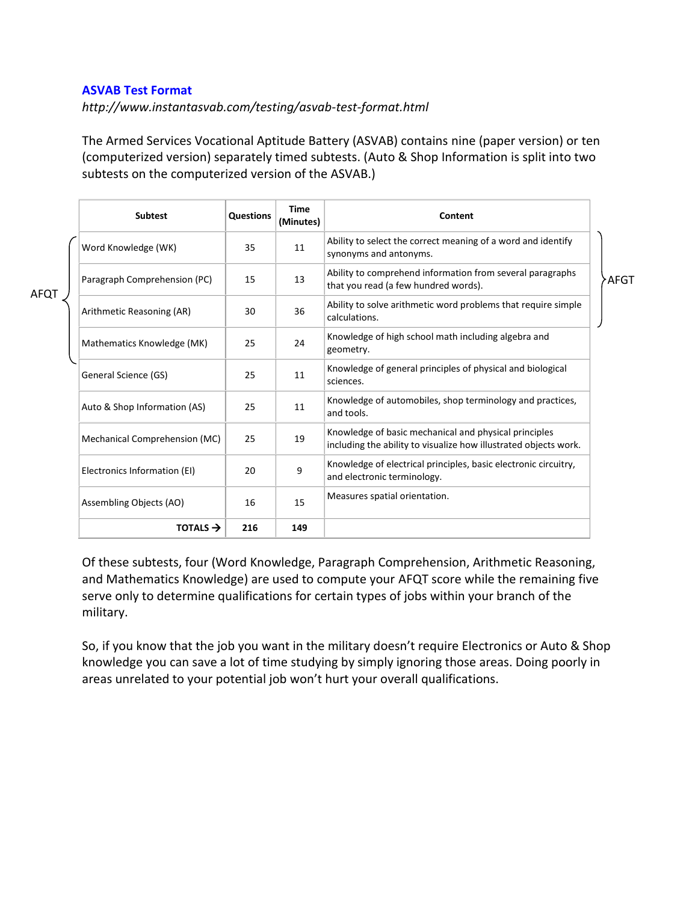## **ASVAB Test Format**

*http://www.instantasvab.com/testing/asvab-test-format.html*

The Armed Services Vocational Aptitude Battery (ASVAB) contains nine (paper version) or ten (computerized version) separately timed subtests. (Auto & Shop Information is split into two subtests on the computerized version of the ASVAB.)

| <b>Subtest</b>                | Questions | <b>Time</b><br>(Minutes) | Content                                                                                                                   |      |
|-------------------------------|-----------|--------------------------|---------------------------------------------------------------------------------------------------------------------------|------|
| Word Knowledge (WK)           | 35        | 11                       | Ability to select the correct meaning of a word and identify<br>synonyms and antonyms.                                    |      |
| Paragraph Comprehension (PC)  | 15        | 13                       | Ability to comprehend information from several paragraphs<br>that you read (a few hundred words).                         | AFGT |
| Arithmetic Reasoning (AR)     | 30        | 36                       | Ability to solve arithmetic word problems that require simple<br>calculations.                                            |      |
| Mathematics Knowledge (MK)    | 25        | 24                       | Knowledge of high school math including algebra and<br>geometry.                                                          |      |
| General Science (GS)          | 25        | 11                       | Knowledge of general principles of physical and biological<br>sciences.                                                   |      |
| Auto & Shop Information (AS)  | 25        | 11                       | Knowledge of automobiles, shop terminology and practices,<br>and tools.                                                   |      |
| Mechanical Comprehension (MC) | 25        | 19                       | Knowledge of basic mechanical and physical principles<br>including the ability to visualize how illustrated objects work. |      |
| Electronics Information (EI)  | 20        | 9                        | Knowledge of electrical principles, basic electronic circuitry,<br>and electronic terminology.                            |      |
| Assembling Objects (AO)       | 16        | 15                       | Measures spatial orientation.                                                                                             |      |
| TOTALS $\rightarrow$          | 216       | 149                      |                                                                                                                           |      |

Of these subtests, four (Word Knowledge, Paragraph Comprehension, Arithmetic Reasoning, and Mathematics Knowledge) are used to compute your [AFQT](http://www.instantasvab.com/asvab-score/understanding-the-afqt-score.html) score while the remaining five serve only to determine qualifications for certain types of jobs within your branch of the military.

So, if you know that the job you want in the military doesn't require Electronics or Auto & Shop knowledge you can save a lot of time studying by simply ignoring those areas. Doing poorly in areas unrelated to your potential job won't hurt your overall qualifications.

AFQT